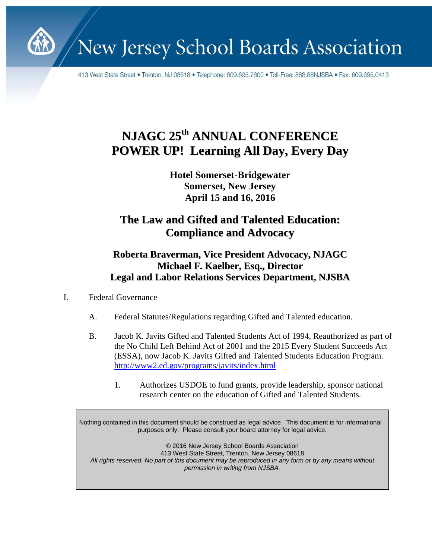

New Jersey School Boards Association

413 West State Street • Trenton, NJ 08618 • Telephone: 609.695.7600 • Toll-Free: 888.88NJSBA • Fax: 609.695.0413

# **NJAGC 25 th ANNUAL CONFERENCE POWER UP! Learning All Day, Every Day**

**Hotel Somerset-Bridgewater Somerset, New Jersey April 15 and 16, 2016**

## **The Law and Gifted and Talented Education: Compliance and Advocacy**

### **Roberta Braverman, Vice President Advocacy, NJAGC Michael F. Kaelber, Esq., Director Legal and Labor Relations Services Department, NJSBA**

- I. Federal Governance
	- A. Federal Statutes/Regulations regarding Gifted and Talented education.
	- B. Jacob K. Javits Gifted and Talented Students Act of 1994, Reauthorized as part of the No Child Left Behind Act of 2001 and the 2015 Every Student Succeeds Act (ESSA), now Jacob K. Javits Gifted and Talented Students Education Program. <http://www2.ed.gov/programs/javits/index.html>
		- 1. Authorizes USDOE to fund grants, provide leadership, sponsor national research center on the education of Gifted and Talented Students.

Nothing contained in this document should be construed as legal advice. This document is for informational purposes only. Please consult your board attorney for legal advice.

© 2016 New Jersey School Boards Association 413 West State Street, Trenton, New Jersey 08618 *All rights reserved. No part of this document may be reproduced in any form or by any means without permission in writing from NJSBA.*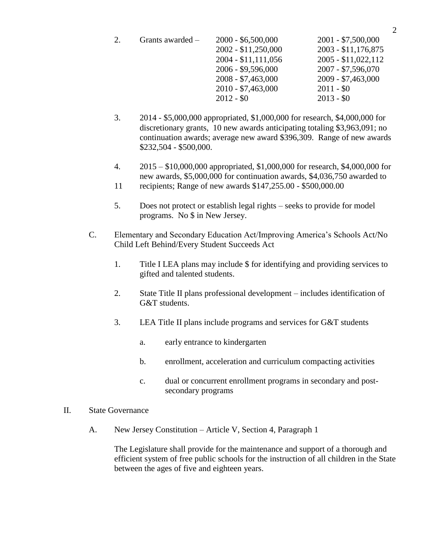| $2000 - $6,500,000$  | $2001 - $7,500,000$  |
|----------------------|----------------------|
| 2002 - \$11,250,000  | 2003 - \$11,176,875  |
| $2004 - $11,111,056$ | $2005 - $11,022,112$ |
| 2006 - \$9,596,000   | $2007 - $7,596,070$  |
| $2008 - $7,463,000$  | 2009 - \$7,463,000   |
| $2010 - $7,463,000$  | $2011 - $0$          |
| $2012 - $0$          | $2013 - $0$          |
|                      | Grants awarded $-$   |

- 3. 2014 \$5,000,000 appropriated, \$1,000,000 for research, \$4,000,000 for discretionary grants, 10 new awards anticipating totaling \$3,963,091; no continuation awards; average new award \$396,309. Range of new awards \$232,504 - \$500,000.
- 4. 2015 \$10,000,000 appropriated, \$1,000,000 for research, \$4,000,000 for new awards, \$5,000,000 for continuation awards, \$4,036,750 awarded to
- 11 recipients; Range of new awards \$147,255.00 \$500,000.00
- 5. Does not protect or establish legal rights seeks to provide for model programs. No \$ in New Jersey.
- C. Elementary and Secondary Education Act/Improving America's Schools Act/No Child Left Behind/Every Student Succeeds Act
	- 1. Title I LEA plans may include \$ for identifying and providing services to gifted and talented students.
	- 2. State Title II plans professional development includes identification of G&T students.
	- 3. LEA Title II plans include programs and services for G&T students
		- a. early entrance to kindergarten
		- b. enrollment, acceleration and curriculum compacting activities
		- c. dual or concurrent enrollment programs in secondary and postsecondary programs
- II. State Governance
	- A. New Jersey Constitution Article V, Section 4, Paragraph 1

The Legislature shall provide for the maintenance and support of a thorough and efficient system of free public schools for the instruction of all children in the State between the ages of five and eighteen years.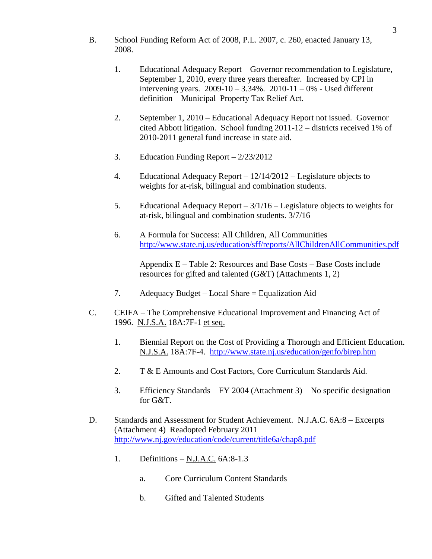- B. School Funding Reform Act of 2008, P.L. 2007, c. 260, enacted January 13, 2008.
	- 1. Educational Adequacy Report Governor recommendation to Legislature, September 1, 2010, every three years thereafter. Increased by CPI in intervening years.  $2009 - 10 - 3.34\%$ .  $2010 - 11 - 0\%$  - Used different definition – Municipal Property Tax Relief Act.
	- 2. September 1, 2010 Educational Adequacy Report not issued. Governor cited Abbott litigation. School funding 2011-12 – districts received 1% of 2010-2011 general fund increase in state aid.
	- 3. Education Funding Report 2/23/2012
	- 4. Educational Adequacy Report 12/14/2012 Legislature objects to weights for at-risk, bilingual and combination students.
	- 5. Educational Adequacy Report 3/1/16 Legislature objects to weights for at-risk, bilingual and combination students. 3/7/16
	- 6. A Formula for Success: All Children, All Communities <http://www.state.nj.us/education/sff/reports/AllChildrenAllCommunities.pdf>

Appendix E – Table 2: Resources and Base Costs – Base Costs include resources for gifted and talented (G&T) (Attachments 1, 2)

- 7. Adequacy Budget Local Share = Equalization Aid
- C. CEIFA The Comprehensive Educational Improvement and Financing Act of 1996. N.J.S.A. 18A:7F-1 et seq.
	- 1. Biennial Report on the Cost of Providing a Thorough and Efficient Education. N.J.S.A. 18A:7F-4. <http://www.state.nj.us/education/genfo/birep.htm>
	- 2. T & E Amounts and Cost Factors, Core Curriculum Standards Aid.
	- 3. Efficiency Standards FY 2004 (Attachment 3) No specific designation for G&T.
- D. Standards and Assessment for Student Achievement. N.J.A.C. 6A:8 Excerpts (Attachment 4) Readopted February 2011 <http://www.nj.gov/education/code/current/title6a/chap8.pdf>
	- 1. Definitions N.J.A.C. 6A:8-1.3
		- a. Core Curriculum Content Standards
		- b. Gifted and Talented Students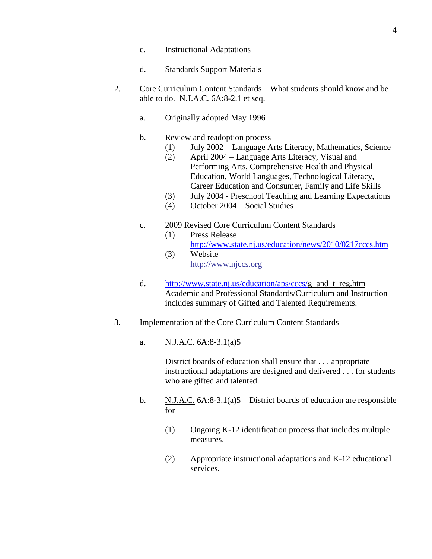- c. Instructional Adaptations
- d. Standards Support Materials
- 2. Core Curriculum Content Standards What students should know and be able to do. N.J.A.C. 6A:8-2.1 et seq.
	- a. Originally adopted May 1996
	- b. Review and readoption process
		- (1) July 2002 Language Arts Literacy, Mathematics, Science
			- (2) April 2004 Language Arts Literacy, Visual and Performing Arts, Comprehensive Health and Physical Education, World Languages, Technological Literacy, Career Education and Consumer, Family and Life Skills
			- (3) July 2004 Preschool Teaching and Learning Expectations
			- (4) October 2004 Social Studies
	- c. 2009 Revised Core Curriculum Content Standards
		- (1) Press Release <http://www.state.nj.us/education/news/2010/0217cccs.htm> (3) Website
			- [http://www.n](http://www./)jccs.org
	- d. [http://www.state.nj.us/education/aps/cccs/g](http://www.state.nj.us/education/aps/cccs/)\_and\_t\_reg.htm Academic and Professional Standards/Curriculum and Instruction – includes summary of Gifted and Talented Requirements.
- 3. Implementation of the Core Curriculum Content Standards
	- a. N.J.A.C. 6A:8-3.1(a)5

District boards of education shall ensure that . . . appropriate instructional adaptations are designed and delivered . . . for students who are gifted and talented.

- b.  $N.J.A.C. 6A:8-3.1(a)5 District boards of education are responsible$ for
	- (1) Ongoing K-12 identification process that includes multiple measures.
	- (2) Appropriate instructional adaptations and K-12 educational services.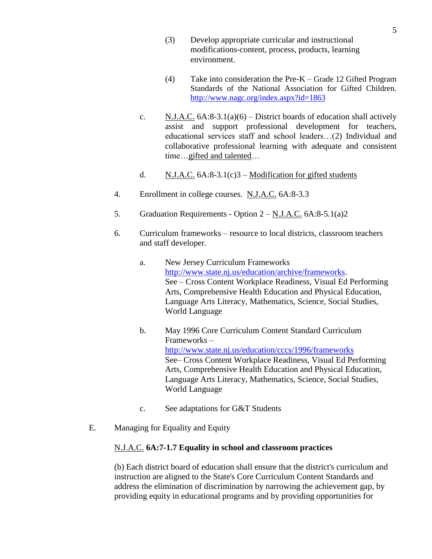- (3) Develop appropriate curricular and instructional modifications-content, process, products, learning environment.
- (4) Take into consideration the Pre-K Grade 12 Gifted Program Standards of the National Association for Gifted Children. <http://www.nagc.org/index.aspx?id=1863>
- c. N.J.A.C.  $6A:8-3.1(a)(6)$  District boards of education shall actively assist and support professional development for teachers, educational services staff and school leaders…(2) Individual and collaborative professional learning with adequate and consistent time…gifted and talented…
- d.  $N.J.A.C. 6A:8-3.1(c)3 Modification for gifted students$
- 4. Enrollment in college courses. N.J.A.C. 6A:8-3.3
- 5. Graduation Requirements Option  $2 N.J.A.C. 6A:8-5.1(a)2$
- 6. Curriculum frameworks resource to local districts, classroom teachers and staff developer.
	- a. New Jersey Curriculum Frameworks [http://www.state.nj.us/education/archive/frameworks.](http://www.state.nj.us/education/archive/frameworks) See – Cross Content Workplace Readiness, Visual Ed Performing Arts, Comprehensive Health Education and Physical Education, Language Arts Literacy, Mathematics, Science, Social Studies, World Language
	- b. May 1996 Core Curriculum Content Standard Curriculum Frameworks – <http://www.state.nj.us/education/cccs/1996/frameworks> See– Cross Content Workplace Readiness, Visual Ed Performing Arts, Comprehensive Health Education and Physical Education, Language Arts Literacy, Mathematics, Science, Social Studies, World Language
	- c. See adaptations for G&T Students
- E. Managing for Equality and Equity

#### N.J.A.C. **6A:7-1.7 Equality in school and classroom practices**

(b) Each district board of education shall ensure that the district's curriculum and instruction are aligned to the State's Core Curriculum Content Standards and address the elimination of discrimination by narrowing the achievement gap, by providing equity in educational programs and by providing opportunities for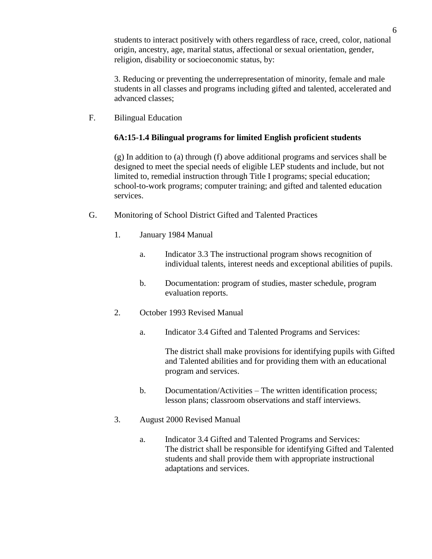students to interact positively with others regardless of race, creed, color, national origin, ancestry, age, marital status, affectional or sexual orientation, gender, religion, disability or socioeconomic status, by:

3. Reducing or preventing the underrepresentation of minority, female and male students in all classes and programs including gifted and talented, accelerated and advanced classes;

F. Bilingual Education

#### **6A:15-1.4 Bilingual programs for limited English proficient students**

(g) In addition to (a) through (f) above additional programs and services shall be designed to meet the special needs of eligible LEP students and include, but not limited to, remedial instruction through Title I programs; special education; school-to-work programs; computer training; and gifted and talented education services.

- G. Monitoring of School District Gifted and Talented Practices
	- 1. January 1984 Manual
		- a. Indicator 3.3 The instructional program shows recognition of individual talents, interest needs and exceptional abilities of pupils.
		- b. Documentation: program of studies, master schedule, program evaluation reports.
	- 2. October 1993 Revised Manual
		- a. Indicator 3.4 Gifted and Talented Programs and Services:

The district shall make provisions for identifying pupils with Gifted and Talented abilities and for providing them with an educational program and services.

- b. Documentation/Activities The written identification process; lesson plans; classroom observations and staff interviews.
- 3. August 2000 Revised Manual
	- a. Indicator 3.4 Gifted and Talented Programs and Services: The district shall be responsible for identifying Gifted and Talented students and shall provide them with appropriate instructional adaptations and services.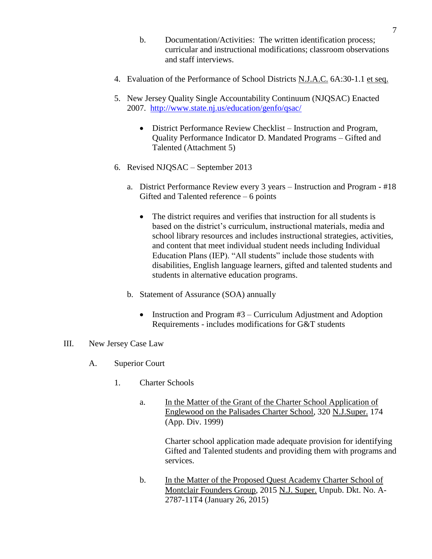- b. Documentation/Activities: The written identification process; curricular and instructional modifications; classroom observations and staff interviews.
- 4. Evaluation of the Performance of School Districts N.J.A.C. 6A:30-1.1 et seq.
- 5. New Jersey Quality Single Accountability Continuum (NJQSAC) Enacted 2007. <http://www.state.nj.us/education/genfo/qsac/>
	- District Performance Review Checklist Instruction and Program, Quality Performance Indicator D. Mandated Programs – Gifted and Talented (Attachment 5)
- 6. Revised NJQSAC September 2013
	- a. District Performance Review every 3 years Instruction and Program #18 Gifted and Talented reference – 6 points
		- The district requires and verifies that instruction for all students is based on the district's curriculum, instructional materials, media and school library resources and includes instructional strategies, activities, and content that meet individual student needs including Individual Education Plans (IEP). "All students" include those students with disabilities, English language learners, gifted and talented students and students in alternative education programs.
	- b. Statement of Assurance (SOA) annually
		- Instruction and Program  $#3$  Curriculum Adjustment and Adoption Requirements - includes modifications for G&T students
- III. New Jersey Case Law
	- A. Superior Court
		- 1. Charter Schools
			- a. In the Matter of the Grant of the Charter School Application of Englewood on the Palisades Charter School, 320 N.J.Super. 174 (App. Div. 1999)

Charter school application made adequate provision for identifying Gifted and Talented students and providing them with programs and services.

b. In the Matter of the Proposed Quest Academy Charter School of Montclair Founders Group, 2015 N.J. Super. Unpub. Dkt. No. A-2787-11T4 (January 26, 2015)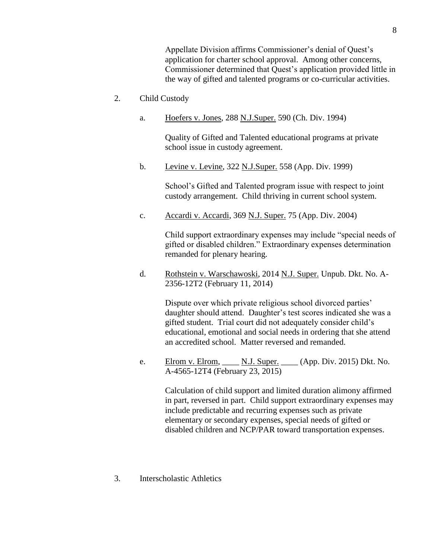Appellate Division affirms Commissioner's denial of Quest's application for charter school approval. Among other concerns, Commissioner determined that Quest's application provided little in the way of gifted and talented programs or co-curricular activities.

- 2. Child Custody
	- a. Hoefers v. Jones, 288 N.J.Super. 590 (Ch. Div. 1994)

Quality of Gifted and Talented educational programs at private school issue in custody agreement.

b. Levine v. Levine, 322 N.J.Super. 558 (App. Div. 1999)

School's Gifted and Talented program issue with respect to joint custody arrangement. Child thriving in current school system.

c. Accardi v. Accardi, 369 N.J. Super. 75 (App. Div. 2004)

Child support extraordinary expenses may include "special needs of gifted or disabled children." Extraordinary expenses determination remanded for plenary hearing.

d. Rothstein v. Warschawoski, 2014 N.J. Super. Unpub. Dkt. No. A-2356-12T2 (February 11, 2014)

> Dispute over which private religious school divorced parties' daughter should attend. Daughter's test scores indicated she was a gifted student. Trial court did not adequately consider child's educational, emotional and social needs in ordering that she attend an accredited school. Matter reversed and remanded.

e. Elrom v. Elrom, N.J. Super. (App. Div. 2015) Dkt. No. A-4565-12T4 (February 23, 2015)

Calculation of child support and limited duration alimony affirmed in part, reversed in part. Child support extraordinary expenses may include predictable and recurring expenses such as private elementary or secondary expenses, special needs of gifted or disabled children and NCP/PAR toward transportation expenses.

3. Interscholastic Athletics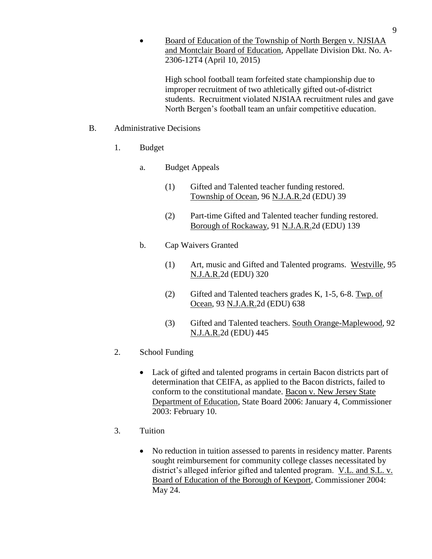Board of Education of the Township of North Bergen v. NJSIAA and Montclair Board of Education, Appellate Division Dkt. No. A-2306-12T4 (April 10, 2015)

High school football team forfeited state championship due to improper recruitment of two athletically gifted out-of-district students. Recruitment violated NJSIAA recruitment rules and gave North Bergen's football team an unfair competitive education.

#### B. Administrative Decisions

- 1. Budget
	- a. Budget Appeals
		- (1) Gifted and Talented teacher funding restored. Township of Ocean, 96 N.J.A.R.2d (EDU) 39
		- (2) Part-time Gifted and Talented teacher funding restored. Borough of Rockaway, 91 N.J.A.R.2d (EDU) 139
	- b. Cap Waivers Granted
		- (1) Art, music and Gifted and Talented programs. Westville, 95 N.J.A.R.2d (EDU) 320
		- (2) Gifted and Talented teachers grades K, 1-5, 6-8. Twp. of Ocean, 93 N.J.A.R.2d (EDU) 638
		- (3) Gifted and Talented teachers. South Orange-Maplewood, 92 N.J.A.R.2d (EDU) 445
- 2. School Funding
	- Lack of gifted and talented programs in certain Bacon districts part of determination that CEIFA, as applied to the Bacon districts, failed to conform to the constitutional mandate. Bacon v. New Jersey State Department of Education, State Board 2006: January 4, Commissioner 2003: February 10.
- 3. Tuition
	- No reduction in tuition assessed to parents in residency matter. Parents sought reimbursement for community college classes necessitated by district's alleged inferior gifted and talented program. V.L. and S.L. v. Board of Education of the Borough of Keyport, Commissioner 2004: May 24.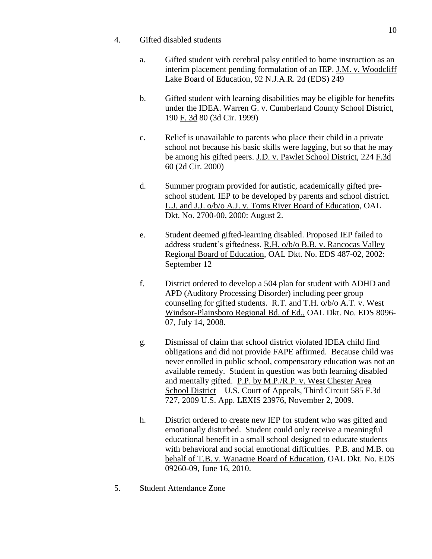- 4. Gifted disabled students
	- a. Gifted student with cerebral palsy entitled to home instruction as an interim placement pending formulation of an IEP. J.M. v. Woodcliff Lake Board of Education, 92 N.J.A.R. 2d (EDS) 249
	- b. Gifted student with learning disabilities may be eligible for benefits under the IDEA. Warren G. v. Cumberland County School District, 190 F. 3d 80 (3d Cir. 1999)
	- c. Relief is unavailable to parents who place their child in a private school not because his basic skills were lagging, but so that he may be among his gifted peers. J.D. v. Pawlet School District, 224 F.3d 60 (2d Cir. 2000)
	- d. Summer program provided for autistic, academically gifted preschool student. IEP to be developed by parents and school district. L.J. and J.J. o/b/o A.J. v. Toms River Board of Education, OAL Dkt. No. 2700-00, 2000: August 2.
	- e. Student deemed gifted-learning disabled. Proposed IEP failed to address student's giftedness. R.H. o/b/o B.B. v. Rancocas Valley Regional Board of Education, OAL Dkt. No. EDS 487-02, 2002: September 12
	- f. District ordered to develop a 504 plan for student with ADHD and APD (Auditory Processing Disorder) including peer group counseling for gifted students. R.T. and T.H. o/b/o A.T. v. West Windsor-Plainsboro Regional Bd. of Ed., OAL Dkt. No. EDS 8096- 07, July 14, 2008.
	- g. Dismissal of claim that school district violated IDEA child find obligations and did not provide FAPE affirmed. Because child was never enrolled in public school, compensatory education was not an available remedy. Student in question was both learning disabled and mentally gifted. P.P. by M.P./R.P. v. West Chester Area School District – U.S. Court of Appeals, Third Circuit 585 F.3d 727, 2009 U.S. App. LEXIS 23976, November 2, 2009.
	- h. District ordered to create new IEP for student who was gifted and emotionally disturbed. Student could only receive a meaningful educational benefit in a small school designed to educate students with behavioral and social emotional difficulties. P.B. and M.B. on behalf of T.B. v. Wanaque Board of Education, OAL Dkt. No. EDS 09260-09, June 16, 2010.
- 5. Student Attendance Zone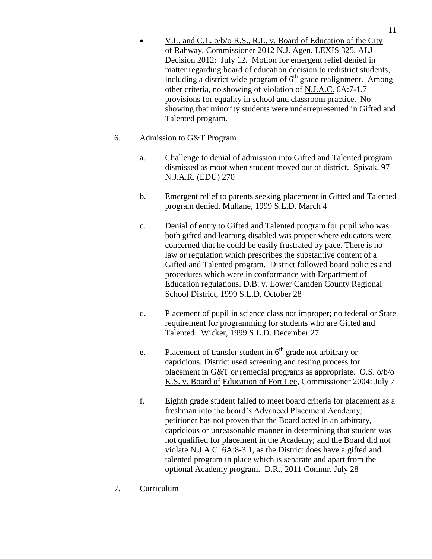V.L. and C.L. o/b/o R.S., R.L. v. Board of Education of the City of Rahway, Commissioner 2012 N.J. Agen. LEXIS 325, ALJ Decision 2012: July 12. Motion for emergent relief denied in matter regarding board of education decision to redistrict students, including a district wide program of  $6<sup>th</sup>$  grade realignment. Among other criteria, no showing of violation of N.J.A.C. 6A:7-1.7 provisions for equality in school and classroom practice. No showing that minority students were underrepresented in Gifted and Talented program.

#### 6. Admission to G&T Program

- a. Challenge to denial of admission into Gifted and Talented program dismissed as moot when student moved out of district. Spivak, 97 N.J.A.R. (EDU) 270
- b. Emergent relief to parents seeking placement in Gifted and Talented program denied. Mullane, 1999 S.L.D. March 4
- c. Denial of entry to Gifted and Talented program for pupil who was both gifted and learning disabled was proper where educators were concerned that he could be easily frustrated by pace. There is no law or regulation which prescribes the substantive content of a Gifted and Talented program. District followed board policies and procedures which were in conformance with Department of Education regulations. D.B. v. Lower Camden County Regional School District, 1999 S.L.D. October 28
- d. Placement of pupil in science class not improper; no federal or State requirement for programming for students who are Gifted and Talented. Wicker, 1999 S.L.D. December 27
- e. Placement of transfer student in  $6<sup>th</sup>$  grade not arbitrary or capricious. District used screening and testing process for placement in G&T or remedial programs as appropriate. O.S. o/b/o K.S. v. Board of Education of Fort Lee, Commissioner 2004: July 7
- f. Eighth grade student failed to meet board criteria for placement as a freshman into the board's Advanced Placement Academy; petitioner has not proven that the Board acted in an arbitrary, capricious or unreasonable manner in determining that student was not qualified for placement in the Academy; and the Board did not violate N.J.A.C. 6A:8-3.1, as the District does have a gifted and talented program in place which is separate and apart from the optional Academy program. D.R., 2011 Commr. July 28
- 7. Curriculum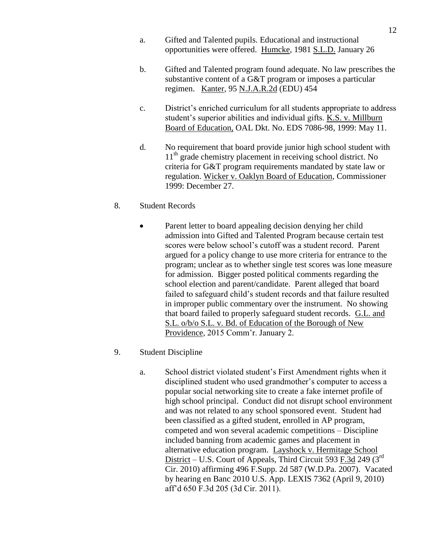- a. Gifted and Talented pupils. Educational and instructional opportunities were offered. Humcke, 1981 S.L.D. January 26
- b. Gifted and Talented program found adequate. No law prescribes the substantive content of a G&T program or imposes a particular regimen. Kanter, 95 N.J.A.R.2d (EDU) 454
- c. District's enriched curriculum for all students appropriate to address student's superior abilities and individual gifts. K.S. v. Millburn Board of Education, OAL Dkt. No. EDS 7086-98, 1999: May 11.
- d. No requirement that board provide junior high school student with 11<sup>th</sup> grade chemistry placement in receiving school district. No criteria for G&T program requirements mandated by state law or regulation. Wicker v. Oaklyn Board of Education, Commissioner 1999: December 27.
- 8. Student Records
	- Parent letter to board appealing decision denying her child admission into Gifted and Talented Program because certain test scores were below school's cutoff was a student record. Parent argued for a policy change to use more criteria for entrance to the program; unclear as to whether single test scores was lone measure for admission. Bigger posted political comments regarding the school election and parent/candidate. Parent alleged that board failed to safeguard child's student records and that failure resulted in improper public commentary over the instrument. No showing that board failed to properly safeguard student records. G.L. and S.L. o/b/o S.L. v. Bd. of Education of the Borough of New Providence, 2015 Comm'r. January 2.
- 9. Student Discipline
	- a. School district violated student's First Amendment rights when it disciplined student who used grandmother's computer to access a popular social networking site to create a fake internet profile of high school principal. Conduct did not disrupt school environment and was not related to any school sponsored event. Student had been classified as a gifted student, enrolled in AP program, competed and won several academic competitions – Discipline included banning from academic games and placement in alternative education program. Layshock v. Hermitage School District – U.S. Court of Appeals, Third Circuit 593 F.3d 249 (3rd) Cir. 2010) affirming 496 F.Supp. 2d 587 (W.D.Pa. 2007). Vacated by hearing en Banc 2010 U.S. App. LEXIS 7362 (April 9, 2010) aff'd 650 F.3d 205 (3d Cir. 2011).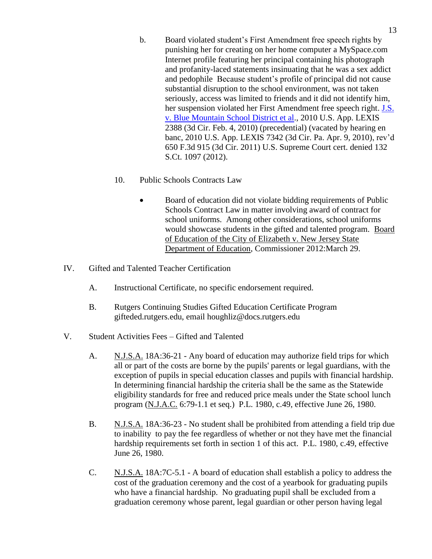- b. Board violated student's First Amendment free speech rights by punishing her for creating on her home computer a MySpace.com Internet profile featuring her principal containing his photograph and profanity-laced statements insinuating that he was a sex addict and pedophile Because student's profile of principal did not cause substantial disruption to the school environment, was not taken seriously, access was limited to friends and it did not identify him, her suspension violated her First Amendment free speech right. [J.S.](http://caselaw.lp.findlaw.com/data2/circs/3rd/084138p.pdf)  [v. Blue Mountain School District et al.](http://caselaw.lp.findlaw.com/data2/circs/3rd/084138p.pdf), 2010 U.S. App. LEXIS 2388 (3d Cir. Feb. 4, 2010) (precedential) (vacated by hearing en banc, 2010 U.S. App. LEXIS 7342 (3d Cir. Pa. Apr. 9, 2010), rev'd 650 F.3d 915 (3d Cir. 2011) U.S. Supreme Court cert. denied 132 S.Ct. 1097 (2012).
- 10. Public Schools Contracts Law
	- Board of education did not violate bidding requirements of Public Schools Contract Law in matter involving award of contract for school uniforms. Among other considerations, school uniforms would showcase students in the gifted and talented program. Board of Education of the City of Elizabeth v. New Jersey State Department of Education, Commissioner 2012:March 29.
- IV. Gifted and Talented Teacher Certification
	- A. Instructional Certificate, no specific endorsement required.
	- B. Rutgers Continuing Studies Gifted Education Certificate Program gifteded.rutgers.edu, email houghliz@docs.rutgers.edu
- V. Student Activities Fees Gifted and Talented
	- A. N.J.S.A. 18A:36-21 Any board of education may authorize field trips for which all or part of the costs are borne by the pupils' parents or legal guardians, with the exception of pupils in special education classes and pupils with financial hardship. In determining financial hardship the criteria shall be the same as the Statewide eligibility standards for free and reduced price meals under the State school lunch program (N.J.A.C. 6:79-1.1 et seq.) P.L. 1980, c.49, effective June 26, 1980.
	- B. N.J.S.A. 18A:36-23 No student shall be prohibited from attending a field trip due to inability to pay the fee regardless of whether or not they have met the financial hardship requirements set forth in section 1 of this act. P.L. 1980, c.49, effective June 26, 1980.
	- C. N.J.S.A. 18A:7C-5.1 A board of education shall establish a policy to address the cost of the graduation ceremony and the cost of a yearbook for graduating pupils who have a financial hardship. No graduating pupil shall be excluded from a graduation ceremony whose parent, legal guardian or other person having legal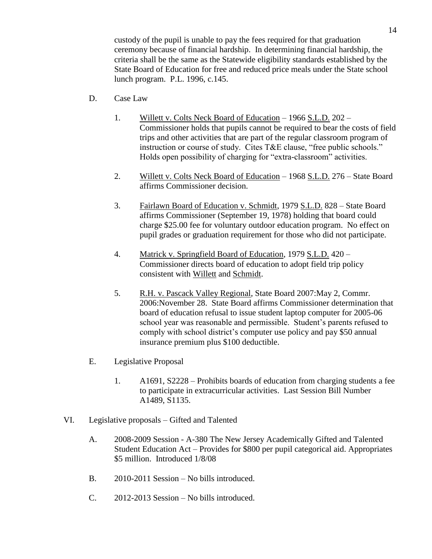custody of the pupil is unable to pay the fees required for that graduation ceremony because of financial hardship. In determining financial hardship, the criteria shall be the same as the Statewide eligibility standards established by the State Board of Education for free and reduced price meals under the State school lunch program. P.L. 1996, c.145.

- D. Case Law
	- 1. Willett v. Colts Neck Board of Education 1966 S.L.D. 202 Commissioner holds that pupils cannot be required to bear the costs of field trips and other activities that are part of the regular classroom program of instruction or course of study. Cites T&E clause, "free public schools." Holds open possibility of charging for "extra-classroom" activities.
	- 2. Willett v. Colts Neck Board of Education 1968 S.L.D. 276 State Board affirms Commissioner decision.
	- 3. Fairlawn Board of Education v. Schmidt, 1979 S.L.D. 828 State Board affirms Commissioner (September 19, 1978) holding that board could charge \$25.00 fee for voluntary outdoor education program. No effect on pupil grades or graduation requirement for those who did not participate.
	- 4. Matrick v. Springfield Board of Education, 1979 S.L.D. 420 Commissioner directs board of education to adopt field trip policy consistent with Willett and Schmidt.
	- 5. R.H. v. Pascack Valley Regional, State Board 2007:May 2, Commr. 2006:November 28. State Board affirms Commissioner determination that board of education refusal to issue student laptop computer for 2005-06 school year was reasonable and permissible. Student's parents refused to comply with school district's computer use policy and pay \$50 annual insurance premium plus \$100 deductible.
- E. Legislative Proposal
	- 1. A1691, S2228 Prohibits boards of education from charging students a fee to participate in extracurricular activities. Last Session Bill Number A1489, S1135.
- VI. Legislative proposals Gifted and Talented
	- A. 2008-2009 Session A-380 The New Jersey Academically Gifted and Talented Student Education Act – Provides for \$800 per pupil categorical aid. Appropriates \$5 million. Introduced 1/8/08
	- B. 2010-2011 Session No bills introduced.
	- C. 2012-2013 Session No bills introduced.